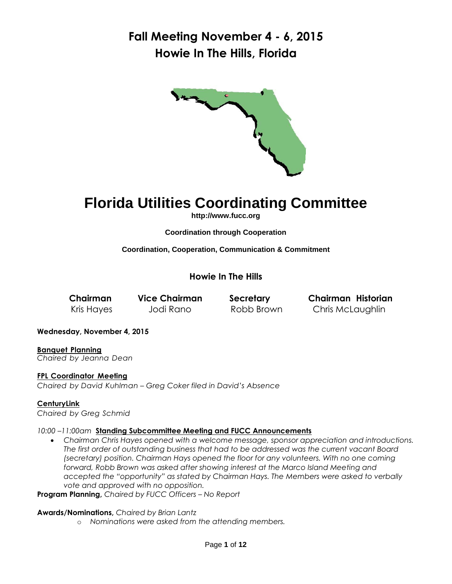

# **Florida Utilities Coordinating Committee**

**[http://www.fucc.org](http://www.fucc.org/)**

**Coordination through Cooperation**

**Coordination, Cooperation, Communication & Commitment**

**Howie In The Hills**

**Chairman Vice Chairman Secretary Chairman Historian** Kris Hayes Jodi Rano Robb Brown Chris McLaughlin

**Wednesday, November 4, 2015**

**Banquet Planning** *Chaired by Jeanna Dean*

**FPL Coordinator Meeting**

*Chaired by David Kuhlman – Greg Coker filed in David's Absence*

### **CenturyLink**

*Chaired by Greg Schmid*

#### *10:00 –11:00am* **Standing Subcommittee Meeting and FUCC Announcements**

 *Chairman Chris Hayes opened with a welcome message, sponsor appreciation and introductions. The first order of outstanding business that had to be addressed was the current vacant Board (secretary) position. Chairman Hays opened the floor for any volunteers. With no one coming forward, Robb Brown was asked after showing interest at the Marco Island Meeting and accepted the "opportunity" as stated by Chairman Hays. The Members were asked to verbally vote and approved with no opposition.*

**Program Planning,** *Chaired by FUCC Officers – No Report*

**Awards/Nominations,** *Chaired by Brian Lantz* 

o *Nominations were asked from the attending members.*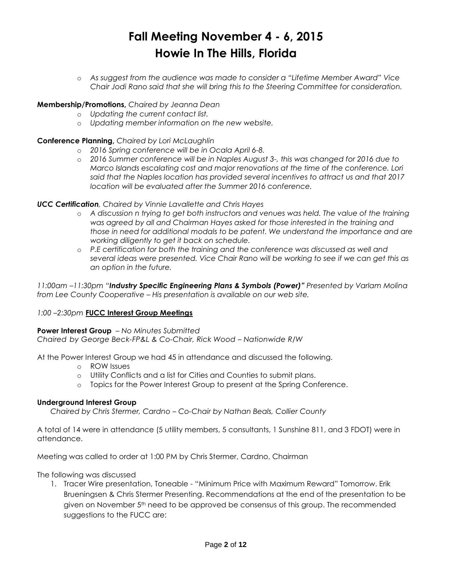o *As suggest from the audience was made to consider a "Lifetime Member Award" Vice Chair Jodi Rano said that she will bring this to the Steering Committee for consideration.*

#### **Membership/Promotions,** *Chaired by Jeanna Dean*

- o *Updating the current contact list.*
- o *Updating member information on the new website.*

#### **Conference Planning,** *Chaired by Lori McLaughlin*

- o *2016 Spring conference will be in Ocala April 6-8.*
- o *2016 Summer conference will be in Naples August 3-, this was changed for 2016 due to Marco Islands escalating cost and major renovations at the time of the conference. Lori said that the Naples location has provided several incentives to attract us and that 2017 location will be evaluated after the Summer 2016 conference.*

### *UCC Certification, Chaired by Vinnie Lavallette and Chris Hayes*

- o *A discussion n trying to get both instructors and venues was held. The value of the training was agreed by all and Chairman Hayes asked for those interested in the training and those in need for additional modals to be patent. We understand the importance and are working diligently to get it back on schedule.*
- o *P.E certification for both the training and the conference was discussed as well and several ideas were presented. Vice Chair Rano will be working to see if we can get this as an option in the future.*

*11:00am –11:30pm "Industry Specific Engineering Plans & Symbols (Power)" Presented by Varlam Molina from Lee County Cooperative – His presentation is available on our web site.* 

### *1:00 –2:30pm* **FUCC Interest Group Meetings**

#### **Power Interest Group** *– No Minutes Submitted*

*Chaired by George Beck-FP&L & Co-Chair, Rick Wood – Nationwide R/W*

At the Power Interest Group we had 45 in attendance and discussed the following.

- o ROW Issues
- o Utility Conflicts and a list for Cities and Counties to submit plans.
- o Topics for the Power Interest Group to present at the Spring Conference.

#### **Underground Interest Group**

*Chaired by Chris Stermer, Cardno – Co-Chair by Nathan Beals, Collier County* 

A total of 14 were in attendance (5 utility members, 5 consultants, 1 Sunshine 811, and 3 FDOT) were in attendance.

Meeting was called to order at 1:00 PM by Chris Stermer, Cardno, Chairman

The following was discussed

1. Tracer Wire presentation, Toneable - "Minimum Price with Maximum Reward" Tomorrow. Erik Brueningsen & Chris Stermer Presenting. Recommendations at the end of the presentation to be given on November 5th need to be approved be consensus of this group. The recommended suggestions to the FUCC are: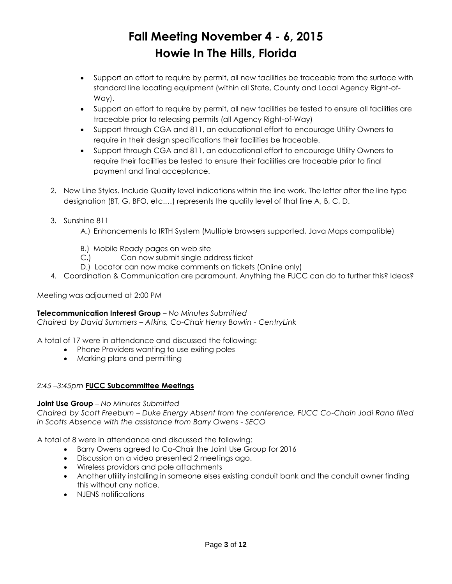- Support an effort to require by permit, all new facilities be traceable from the surface with standard line locating equipment (within all State, County and Local Agency Right-of-Way).
- Support an effort to require by permit, all new facilities be tested to ensure all facilities are traceable prior to releasing permits (all Agency Right-of-Way)
- Support through CGA and 811, an educational effort to encourage Utility Owners to require in their design specifications their facilities be traceable.
- Support through CGA and 811, an educational effort to encourage Utility Owners to require their facilities be tested to ensure their facilities are traceable prior to final payment and final acceptance.
- 2. New Line Styles. Include Quality level indications within the line work. The letter after the line type designation (BT, G, BFO, etc.…) represents the quality level of that line A, B, C, D.
- 3. Sunshine 811
	- A.) Enhancements to IRTH System (Multiple browsers supported, Java Maps compatible)
	- B.) Mobile Ready pages on web site
	- C.) Can now submit single address ticket
	- D.) Locator can now make comments on tickets (Online only)
- 4. Coordination & Communication are paramount. Anything the FUCC can do to further this? Ideas?

Meeting was adjourned at 2:00 PM

# **Telecommunication Interest Group** *– No Minutes Submitted*

*Chaired by David Summers – Atkins, Co-Chair Henry Bowlin - CentryLink*

A total of 17 were in attendance and discussed the following:

- Phone Providers wanting to use exiting poles
- Marking plans and permitting

# *2:45 –3:45pm* **FUCC Subcommittee Meetings**

### **Joint Use Group** *– No Minutes Submitted*

*Chaired by Scott Freeburn – Duke Energy Absent from the conference, FUCC Co-Chain Jodi Rano filled in Scotts Absence with the assistance from Barry Owens - SECO*

A total of 8 were in attendance and discussed the following:

- Barry Owens agreed to Co-Chair the Joint Use Group for 2016
- Discussion on a video presented 2 meetings ago.
- Wireless providors and pole attachments
- Another utility installing in someone elses existing conduit bank and the conduit owner finding this without any notice.
- NJENS notifications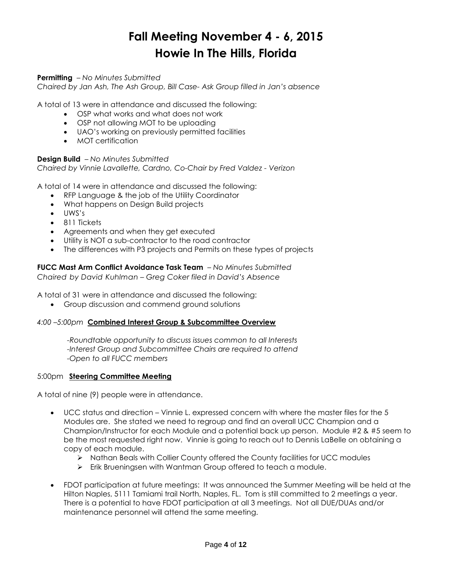### **Permitting** *– No Minutes Submitted*

*Chaired by Jan Ash, The Ash Group, Bill Case- Ask Group filled in Jan's absence*

A total of 13 were in attendance and discussed the following:

- OSP what works and what does not work
- OSP not allowing MOT to be uploading
- UAO's working on previously permitted facilities
- MOT certification

### **Design Build** *– No Minutes Submitted*

*Chaired by Vinnie Lavallette, Cardno, Co-Chair by Fred Valdez - Verizon*

A total of 14 were in attendance and discussed the following:

- RFP Language & the job of the Utility Coordinator
- What happens on Design Build projects
- $\bullet$   $IJWS's$
- 811 Tickets
- Agreements and when they get executed
- Utility is NOT a sub-contractor to the road contractor
- The differences with P3 projects and Permits on these types of projects

**FUCC Mast Arm Conflict Avoidance Task Team** *– No Minutes Submitted*

*Chaired by David Kuhlman – Greg Coker filed in David's Absence*

A total of 31 were in attendance and discussed the following:

Group discussion and commend ground solutions

#### *4:00 –5:00pm* **Combined Interest Group & Subcommittee Overview**

*-Roundtable opportunity to discuss issues common to all Interests -Interest Group and Subcommittee Chairs are required to attend -Open to all FUCC members* 

#### 5:00pm **Steering Committee Meeting**

A total of nine (9) people were in attendance.

- UCC status and direction Vinnie L. expressed concern with where the master files for the 5 Modules are. She stated we need to regroup and find an overall UCC Champion and a Champion/Instructor for each Module and a potential back up person. Module #2 & #5 seem to be the most requested right now. Vinnie is going to reach out to Dennis LaBelle on obtaining a copy of each module.
	- > Nathan Beals with Collier County offered the County facilities for UCC modules
	- Frik Brueningsen with Wantman Group offered to teach a module.
- FDOT participation at future meetings: It was announced the Summer Meeting will be held at the Hilton Naples, 5111 Tamiami trail North, Naples, FL. Tom is still committed to 2 meetings a year. There is a potential to have FDOT participation at all 3 meetings. Not all DUE/DUAs and/or maintenance personnel will attend the same meeting.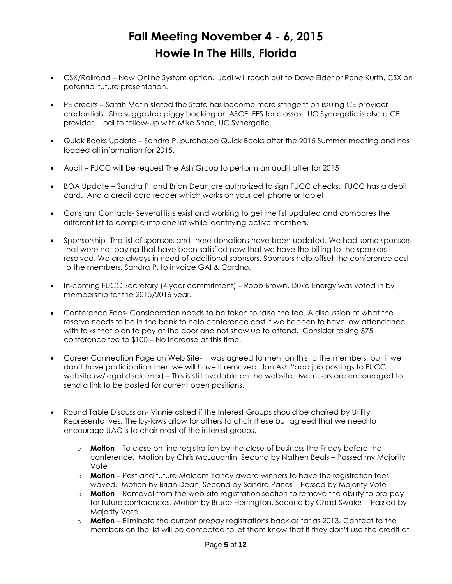- CSX/Railroad New Online System option. Jodi will reach out to Dave Elder or Rene Kurth, CSX on potential future presentation.
- PE credits Sarah Matin stated the State has become more stringent on issuing CE provider credentials. She suggested piggy backing on ASCE, FES for classes. UC Synergetic is also a CE provider. Jodi to follow-up with Mike Shad, UC Synergetic.
- Quick Books Update Sandra P. purchased Quick Books after the 2015 Summer meeting and has loaded all information for 2015.
- Audit FUCC will be request The Ash Group to perform an audit after for 2015
- BOA Update Sandra P. and Brian Dean are authorized to sign FUCC checks. FUCC has a debit card. And a credit card reader which works on your cell phone or tablet.
- Constant Contacts- Several lists exist and working to get the list updated and compares the different list to compile into one list while identifying active members.
- Sponsorship- The list of sponsors and there donations have been updated. We had some sponsors that were not paying that have been satisfied now that we have the billing to the sponsors resolved. We are always in need of additional sponsors. Sponsors help offset the conference cost to the members. Sandra P. to invoice GAI & Cardno.
- In-coming FUCC Secretary (4 year commitment) Robb Brown, Duke Energy was voted in by membership for the 2015/2016 year.
- Conference Fees- Consideration needs to be taken to raise the fee. A discussion of what the reserve needs to be in the bank to help conference cost if we happen to have low attendance with folks that plan to pay at the door and not show up to attend. Consider raising \$75 conference fee to \$100 – No increase at this time.
- Career Connection Page on Web Site- It was agreed to mention this to the members, but if we don't have participation then we will have it removed. Jan Ash "add job postings to FUCC website (w/legal disclaimer) – This is still available on the website. Members are encouraged to send a link to be posted for current open positions.
- Round Table Discussion- Vinnie asked if the Interest Groups should be chaired by Utility Representatives. The by-laws allow for others to chair these but agreed that we need to encourage UAO's to chair most of the interest groups.
	- o **Motion** To close on-line registration by the close of business the Friday before the conference. Motion by Chris McLaughlin, Second by Nathen Beals – Passed my Majority Vote
	- o **Motion** Past and future Malcom Yancy award winners to have the registration fees waved. Motion by Brian Dean, Second by Sandra Panos – Passed by Majority Vote
	- o **Motion**  Removal from the web-site registration section to remove the ability to pre-pay for future conferences. Motion by Bruce Herrington, Second by Chad Swales – Passed by Majority Vote
	- o **Motion**  Eliminate the current prepay registrations back as far as 2013. Contact to the members on the list will be contacted to let them know that if they don't use the credit at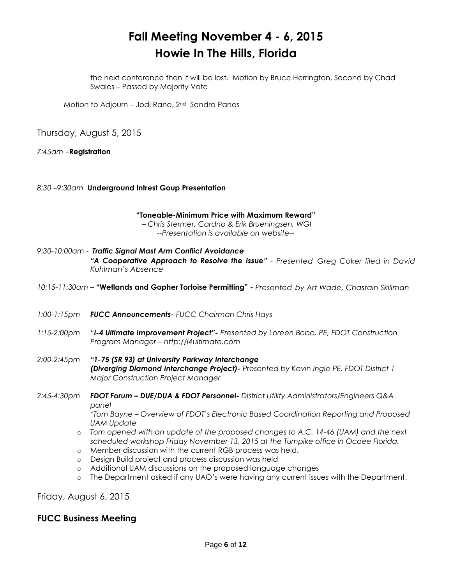the next conference then it will be lost. Motion by Bruce Herrington, Second by Chad Swales – Passed by Majority Vote

Motion to Adjourn – Jodi Rano, 2<sup>nd</sup> Sandra Panos

Thursday, August 5, 2015

*7:45am –***Registration**

*8:30 –9:30am* **Underground Intrest Goup Presentation**

**"Toneable-Minimum Price with Maximum Reward"** *– Chris Stermer, Cardno & Erik Brueningsen, WGI --Presentation is available on website--*

*9:30-10:00am - Traffic Signal Mast Arm Conflict Avoidance "A Cooperative Approach to Resolve the Issue" - Presented Greg Coker filed in David Kuhlman's Absence*

- *10:15-11:30am –* **"Wetlands and Gopher Tortoise Permitting" -** *Presented by Art Wade, Chastain Skillman*
- *1:00-1:15pm FUCC Announcements- FUCC Chairman Chris Hays*
- *1:15-2:00pm "I-4 Ultimate Improvement Project"- Presented by Loreen Bobo, PE, FDOT Construction Program Manager – http://i4ultimate.com*
- *2:00-2:45pm "1-75 (SR 93) at University Parkway Interchange (Diverging Diamond Interchange Project)- Presented by Kevin Ingle PE, FDOT District 1 Major Construction Project Manager*
- *2:45-4:30pm FDOT Forum – DUE/DUA & FDOT Personnel- District Utility Administrators/Engineers Q&A panel \*Tom Bayne – Overview of FDOT's Electronic Based Coordination Reporting and Proposed* 
	- *UAM Update*
	- o *Tom opened with an update of the proposed changes to A.C. 14-46 (UAM) and the next scheduled workshop Friday November 13, 2015 at the Turnpike office in Ocoee Florida.*
	- o Member discussion with the current RGB process was held.
	- o Design Build project and process discussion was held
	- o Additional UAM discussions on the proposed language changes
	- o The Department asked if any UAO's were having any current issues with the Department.

Friday, August 6, 2015

# **FUCC Business Meeting**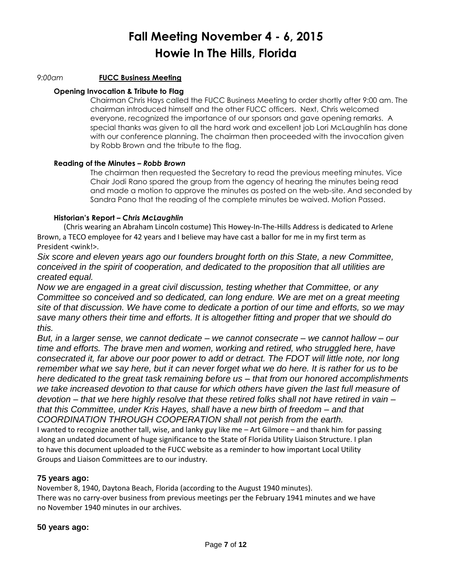#### *9:00am* **FUCC Business Meeting**

#### **Opening Invocation & Tribute to Flag**

Chairman Chris Hays called the FUCC Business Meeting to order shortly after 9:00 am. The chairman introduced himself and the other FUCC officers. Next, Chris welcomed everyone, recognized the importance of our sponsors and gave opening remarks. A special thanks was given to all the hard work and excellent job Lori McLaughlin has done with our conference planning. The chairman then proceeded with the invocation given by Robb Brown and the tribute to the flag.

#### **Reading of the Minutes –** *Robb Brown*

The chairman then requested the Secretary to read the previous meeting minutes. Vice Chair Jodi Rano spared the group from the agency of hearing the minutes being read and made a motion to approve the minutes as posted on the web-site. And seconded by Sandra Pano that the reading of the complete minutes be waived. Motion Passed.

### **Historian's Report –** *Chris McLaughlin*

(Chris wearing an Abraham Lincoln costume) This Howey-In-The-Hills Address is dedicated to Arlene Brown, a TECO employee for 42 years and I believe may have cast a ballor for me in my first term as President <wink!>.

*Six score and eleven years ago our founders brought forth on this State, a new Committee, conceived in the spirit of cooperation, and dedicated to the proposition that all utilities are created equal.*

*Now we are engaged in a great civil discussion, testing whether that Committee, or any Committee so conceived and so dedicated, can long endure. We are met on a great meeting site of that discussion. We have come to dedicate a portion of our time and efforts, so we may save many others their time and efforts. It is altogether fitting and proper that we should do this.*

*But, in a larger sense, we cannot dedicate – we cannot consecrate – we cannot hallow – our time and efforts. The brave men and women, working and retired, who struggled here, have consecrated it, far above our poor power to add or detract. The FDOT will little note, nor long remember what we say here, but it can never forget what we do here. It is rather for us to be here dedicated to the great task remaining before us – that from our honored accomplishments we take increased devotion to that cause for which others have given the last full measure of devotion – that we here highly resolve that these retired folks shall not have retired in vain – that this Committee, under Kris Hayes, shall have a new birth of freedom – and that COORDINATION THROUGH COOPERATION shall not perish from the earth.* I wanted to recognize another tall, wise, and lanky guy like me – Art Gilmore – and thank him for passing along an undated document of huge significance to the State of Florida Utility Liaison Structure. I plan to have this document uploaded to the FUCC website as a reminder to how important Local Utility

Groups and Liaison Committees are to our industry.

### **75 years ago:**

November 8, 1940, Daytona Beach, Florida (according to the August 1940 minutes). There was no carry-over business from previous meetings per the February 1941 minutes and we have no November 1940 minutes in our archives.

### **50 years ago:**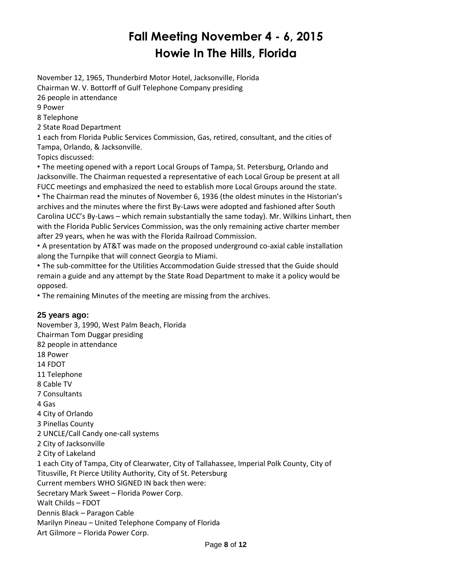November 12, 1965, Thunderbird Motor Hotel, Jacksonville, Florida Chairman W. V. Bottorff of Gulf Telephone Company presiding 26 people in attendance

9 Power

8 Telephone

2 State Road Department

1 each from Florida Public Services Commission, Gas, retired, consultant, and the cities of Tampa, Orlando, & Jacksonville.

Topics discussed:

• The meeting opened with a report Local Groups of Tampa, St. Petersburg, Orlando and Jacksonville. The Chairman requested a representative of each Local Group be present at all FUCC meetings and emphasized the need to establish more Local Groups around the state.

• The Chairman read the minutes of November 6, 1936 (the oldest minutes in the Historian's archives and the minutes where the first By-Laws were adopted and fashioned after South Carolina UCC's By-Laws – which remain substantially the same today). Mr. Wilkins Linhart, then with the Florida Public Services Commission, was the only remaining active charter member after 29 years, when he was with the Florida Railroad Commission.

• A presentation by AT&T was made on the proposed underground co-axial cable installation along the Turnpike that will connect Georgia to Miami.

• The sub-committee for the Utilities Accommodation Guide stressed that the Guide should remain a guide and any attempt by the State Road Department to make it a policy would be opposed.

• The remaining Minutes of the meeting are missing from the archives.

# **25 years ago:**

November 3, 1990, West Palm Beach, Florida Chairman Tom Duggar presiding 82 people in attendance 18 Power 14 FDOT 11 Telephone 8 Cable TV 7 Consultants 4 Gas 4 City of Orlando 3 Pinellas County 2 UNCLE/Call Candy one-call systems 2 City of Jacksonville 2 City of Lakeland 1 each City of Tampa, City of Clearwater, City of Tallahassee, Imperial Polk County, City of Titusville, Ft Pierce Utility Authority, City of St. Petersburg Current members WHO SIGNED IN back then were: Secretary Mark Sweet – Florida Power Corp. Walt Childs – FDOT Dennis Black – Paragon Cable Marilyn Pineau – United Telephone Company of Florida Art Gilmore – Florida Power Corp.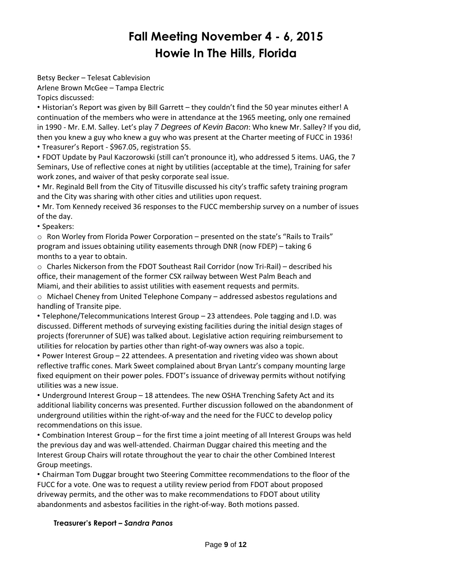Betsy Becker – Telesat Cablevision Arlene Brown McGee – Tampa Electric

Topics discussed:

• Historian's Report was given by Bill Garrett – they couldn't find the 50 year minutes either! A continuation of the members who were in attendance at the 1965 meeting, only one remained in 1990 - Mr. E.M. Salley. Let's play *7 Degrees of Kevin Bacon*: Who knew Mr. Salley? If you did, then you knew a guy who knew a guy who was present at the Charter meeting of FUCC in 1936!

• Treasurer's Report - \$967.05, registration \$5.

• FDOT Update by Paul Kaczorowski (still can't pronounce it), who addressed 5 items. UAG, the 7 Seminars, Use of reflective cones at night by utilities (acceptable at the time), Training for safer work zones, and waiver of that pesky corporate seal issue.

• Mr. Reginald Bell from the City of Titusville discussed his city's traffic safety training program and the City was sharing with other cities and utilities upon request.

• Mr. Tom Kennedy received 36 responses to the FUCC membership survey on a number of issues of the day.

• Speakers:

 $\circ$  Ron Worley from Florida Power Corporation – presented on the state's "Rails to Trails" program and issues obtaining utility easements through DNR (now FDEP) – taking 6 months to a year to obtain.

 $\circ$  Charles Nickerson from the FDOT Southeast Rail Corridor (now Tri-Rail) – described his office, their management of the former CSX railway between West Palm Beach and Miami, and their abilities to assist utilities with easement requests and permits.

 $\circ$  Michael Cheney from United Telephone Company – addressed asbestos regulations and handling of Transite pipe.

• Telephone/Telecommunications Interest Group – 23 attendees. Pole tagging and I.D. was discussed. Different methods of surveying existing facilities during the initial design stages of projects (forerunner of SUE) was talked about. Legislative action requiring reimbursement to utilities for relocation by parties other than right-of-way owners was also a topic.

• Power Interest Group – 22 attendees. A presentation and riveting video was shown about reflective traffic cones. Mark Sweet complained about Bryan Lantz's company mounting large fixed equipment on their power poles. FDOT's issuance of driveway permits without notifying utilities was a new issue.

• Underground Interest Group – 18 attendees. The new OSHA Trenching Safety Act and its additional liability concerns was presented. Further discussion followed on the abandonment of underground utilities within the right-of-way and the need for the FUCC to develop policy recommendations on this issue.

• Combination Interest Group – for the first time a joint meeting of all Interest Groups was held the previous day and was well-attended. Chairman Duggar chaired this meeting and the Interest Group Chairs will rotate throughout the year to chair the other Combined Interest Group meetings.

• Chairman Tom Duggar brought two Steering Committee recommendations to the floor of the FUCC for a vote. One was to request a utility review period from FDOT about proposed driveway permits, and the other was to make recommendations to FDOT about utility abandonments and asbestos facilities in the right-of-way. Both motions passed.

# **Treasurer's Report –** *Sandra Panos*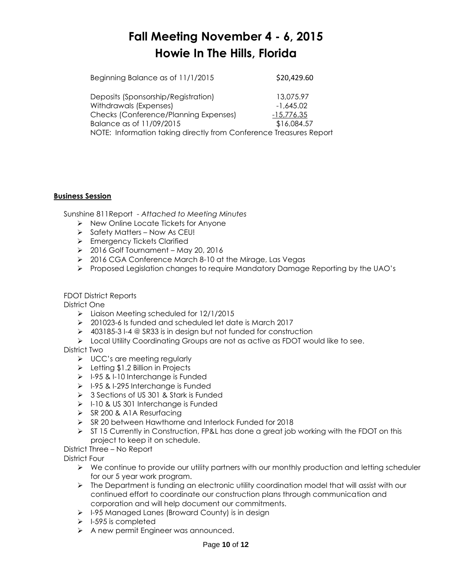Beginning Balance as of 11/1/2015 \$20,429.60 Deposits (Sponsorship/Registration) 13,075.97 Withdrawals (Expenses)  $-1,645.02$ Checks (Conference/Planning Expenses) -15,776.35 Balance as of 11/09/2015 \$16,084.57 NOTE: Information taking directly from Conference Treasures Report

### **Business Session**

Sunshine 811Report - *Attached to Meeting Minutes*

- $\triangleright$  New Online Locate Tickets for Anyone
- $\triangleright$  Safety Matters Now As CEU!
- > Emergency Tickets Clarified
- $\geq 2016$  Golf Tournament May 20, 2016
- ▶ 2016 CGA Conference March 8-10 at the Mirage, Las Vegas
- $\triangleright$  Proposed Legislation changes to require Mandatory Damage Reporting by the UAO's

### FDOT District Reports

District One

- Liaison Meeting scheduled for 12/1/2015
- 201023-6 Is funded and scheduled let date is March 2017
- 403185-3 I-4 @ SR33 is in design but not funded for construction
- ▶ Local Utility Coordinating Groups are not as active as FDOT would like to see.

# District Two

- $\triangleright$  UCC's are meeting regularly
- $\triangleright$  Letting \$1.2 Billion in Projects
- $\geq$  1-95 & 1-10 Interchange is Funded
- $\triangleright$  I-95 & I-295 Interchange is Funded
- 3 Sections of US 301 & Stark is Funded
- $\triangleright$  I-10 & US 301 Interchange is Funded
- $\triangleright$  SR 200 & A1A Resurfacing
- SR 20 between Hawthorne and Interlock Funded for 2018
- $\triangleright$  ST 15 Currently in Construction, FP&L has done a great job working with the FDOT on this project to keep it on schedule.
- District Three No Report

District Four

- $\triangleright$  We continue to provide our utility partners with our monthly production and letting scheduler for our 5 year work program.
- $\triangleright$  The Department is funding an electronic utility coordination model that will assist with our continued effort to coordinate our construction plans through communication and corporation and will help document our commitments.
- $\triangleright$  I-95 Managed Lanes (Broward County) is in design
- $\triangleright$  I-595 is completed
- A new permit Engineer was announced.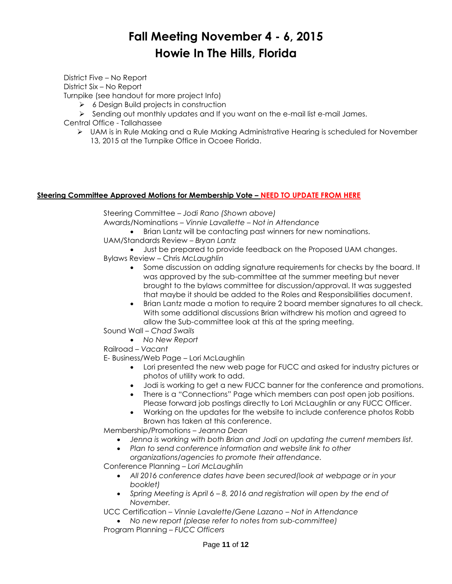District Five – No Report District Six – No Report Turnpike (see handout for more project Info)

 $\triangleright$  6 Design Build projects in construction

- $\triangleright$  Sending out monthly updates and If you want on the e-mail list e-mail James.
- Central Office Tallahassee
	- UAM is in Rule Making and a Rule Making Administrative Hearing is scheduled for November 13, 2015 at the Turnpike Office in Ocoee Florida.

### **Steering Committee Approved Motions for Membership Vote – NEED TO UPDATE FROM HERE**

Steering Committee – *Jodi Rano (Shown above)*

Awards/Nominations – *Vinnie Lavallette – Not in Attendance* 

Brian Lantz will be contacting past winners for new nominations.

- UAM/Standards Review *Bryan Lantz*
	- Just be prepared to provide feedback on the Proposed UAM changes.
- Bylaws Review Chris *McLaughlin*
	- Some discussion on adding signature requirements for checks by the board. It was approved by the sub-committee at the summer meeting but never brought to the bylaws committee for discussion/approval. It was suggested that maybe it should be added to the Roles and Responsibilities document.
	- Brian Lantz made a motion to require 2 board member signatures to all check. With some additional discussions Brian withdrew his motion and agreed to allow the Sub-committee look at this at the spring meeting.
- Sound Wall *Chad Swails*
	- *No New Report*
- Railroad *– Vacant*

E- Business/Web Page – Lori McLaughlin

- Lori presented the new web page for FUCC and asked for industry pictures or photos of utility work to add.
- Jodi is working to get a new FUCC banner for the conference and promotions.
- There is a "Connections" Page which members can post open job positions. Please forward job postings directly to Lori McLaughlin or any FUCC Officer.
- Working on the updates for the website to include conference photos Robb Brown has taken at this conference.

Membership/Promotions – *Jeanna Dean*

- *Jenna is working with both Brian and Jodi on updating the current members list.*
- *Plan to send conference information and website link to other organizations/agencies to promote their attendance.*

Conference Planning – *Lori McLaughlin*

- *All 2016 conference dates have been secured(look at webpage or in your booklet)*
- *Spring Meeting is April 6 – 8, 2016 and registration will open by the end of November.*

UCC Certification – *Vinnie Lavalette/Gene Lazano – Not in Attendance*

 *No new report (please refer to notes from sub-committee)* Program Planning – *FUCC Officers*